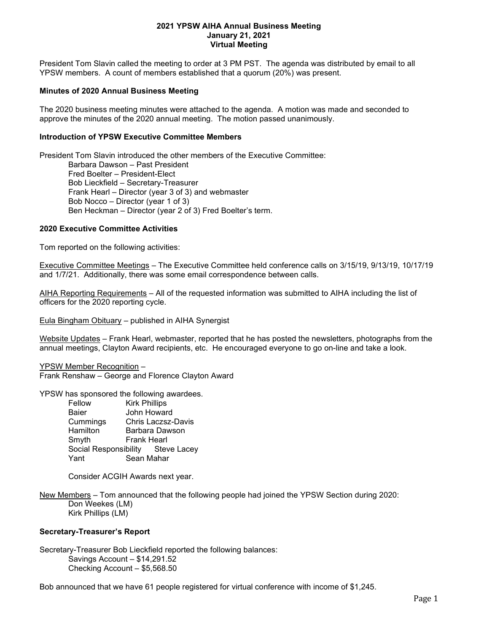## 2021 YPSW AIHA Annual Business Meeting January 21, 2021 Virtual Meeting

President Tom Slavin called the meeting to order at 3 PM PST. The agenda was distributed by email to all YPSW members. A count of members established that a quorum (20%) was present.

## Minutes of 2020 Annual Business Meeting

The 2020 business meeting minutes were attached to the agenda. A motion was made and seconded to approve the minutes of the 2020 annual meeting. The motion passed unanimously.

# Introduction of YPSW Executive Committee Members

President Tom Slavin introduced the other members of the Executive Committee: Barbara Dawson – Past President Fred Boelter – President-Elect Bob Lieckfield – Secretary-Treasurer Frank Hearl – Director (year 3 of 3) and webmaster Bob Nocco – Director (year 1 of 3) Ben Heckman – Director (year 2 of 3) Fred Boelter's term.

## 2020 Executive Committee Activities

Tom reported on the following activities:

Executive Committee Meetings – The Executive Committee held conference calls on 3/15/19, 9/13/19, 10/17/19 and 1/7/21. Additionally, there was some email correspondence between calls.

AIHA Reporting Requirements – All of the requested information was submitted to AIHA including the list of officers for the 2020 reporting cycle.

Eula Bingham Obituary – published in AIHA Synergist

Website Updates – Frank Hearl, webmaster, reported that he has posted the newsletters, photographs from the annual meetings, Clayton Award recipients, etc. He encouraged everyone to go on-line and take a look.

YPSW Member Recognition – Frank Renshaw – George and Florence Clayton Award

YPSW has sponsored the following awardees.

Fellow Kirk Phillips Baier John Howard Cummings Chris Laczsz-Davis Hamilton Barbara Dawson Smyth Frank Hearl Social Responsibility Steve Lacey Yant Sean Mahar

Consider ACGIH Awards next year.

New Members – Tom announced that the following people had joined the YPSW Section during 2020: Don Weekes (LM) Kirk Phillips (LM)

## Secretary-Treasurer's Report

Secretary-Treasurer Bob Lieckfield reported the following balances: Savings Account – \$14,291.52 Checking Account – \$5,568.50

Bob announced that we have 61 people registered for virtual conference with income of \$1,245.